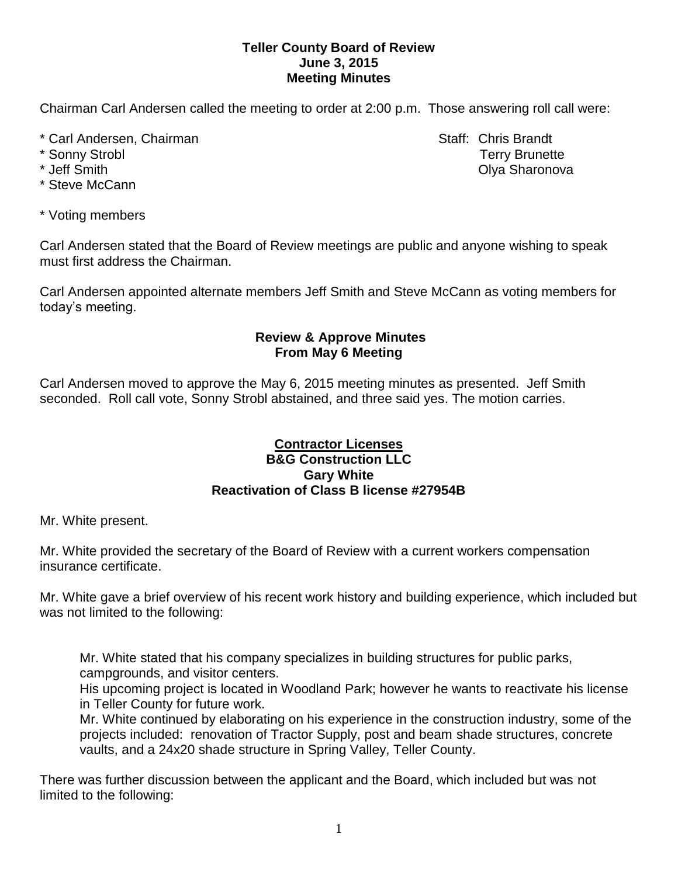## **Teller County Board of Review June 3, 2015 Meeting Minutes**

Chairman Carl Andersen called the meeting to order at 2:00 p.m. Those answering roll call were:

- \* Carl Andersen, Chairman Staff: Chris Brandt
- 
- 
- \* Steve McCann
- \* Voting members

Carl Andersen stated that the Board of Review meetings are public and anyone wishing to speak must first address the Chairman.

Carl Andersen appointed alternate members Jeff Smith and Steve McCann as voting members for today's meeting.

## **Review & Approve Minutes From May 6 Meeting**

Carl Andersen moved to approve the May 6, 2015 meeting minutes as presented. Jeff Smith seconded.Roll call vote, Sonny Strobl abstained, and three said yes. The motion carries.

## **Contractor Licenses B&G Construction LLC Gary White Reactivation of Class B license #27954B**

Mr. White present.

Mr. White provided the secretary of the Board of Review with a current workers compensation insurance certificate.

Mr. White gave a brief overview of his recent work history and building experience, which included but was not limited to the following:

Mr. White stated that his company specializes in building structures for public parks, campgrounds, and visitor centers.

His upcoming project is located in Woodland Park; however he wants to reactivate his license in Teller County for future work.

Mr. White continued by elaborating on his experience in the construction industry, some of the projects included: renovation of Tractor Supply, post and beam shade structures, concrete vaults, and a 24x20 shade structure in Spring Valley, Teller County.

There was further discussion between the applicant and the Board, which included but was not limited to the following:

\* Sonny Strobl Terry Brunette \* Jeff Smith Olya Sharonova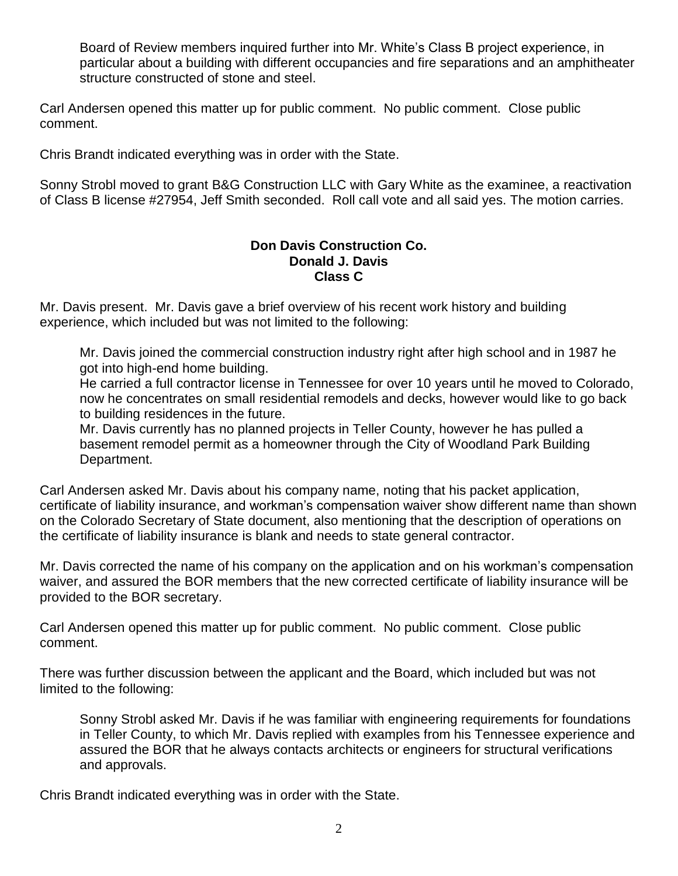Board of Review members inquired further into Mr. White's Class B project experience, in particular about a building with different occupancies and fire separations and an amphitheater structure constructed of stone and steel.

Carl Andersen opened this matter up for public comment. No public comment. Close public comment.

Chris Brandt indicated everything was in order with the State.

Sonny Strobl moved to grant B&G Construction LLC with Gary White as the examinee, a reactivation of Class B license #27954, Jeff Smith seconded. Roll call vote and all said yes. The motion carries.

## **Don Davis Construction Co. Donald J. Davis Class C**

Mr. Davis present. Mr. Davis gave a brief overview of his recent work history and building experience, which included but was not limited to the following:

Mr. Davis joined the commercial construction industry right after high school and in 1987 he got into high-end home building.

He carried a full contractor license in Tennessee for over 10 years until he moved to Colorado, now he concentrates on small residential remodels and decks, however would like to go back to building residences in the future.

Mr. Davis currently has no planned projects in Teller County, however he has pulled a basement remodel permit as a homeowner through the City of Woodland Park Building Department.

Carl Andersen asked Mr. Davis about his company name, noting that his packet application, certificate of liability insurance, and workman's compensation waiver show different name than shown on the Colorado Secretary of State document, also mentioning that the description of operations on the certificate of liability insurance is blank and needs to state general contractor.

Mr. Davis corrected the name of his company on the application and on his workman's compensation waiver, and assured the BOR members that the new corrected certificate of liability insurance will be provided to the BOR secretary.

Carl Andersen opened this matter up for public comment. No public comment. Close public comment.

There was further discussion between the applicant and the Board, which included but was not limited to the following:

Sonny Strobl asked Mr. Davis if he was familiar with engineering requirements for foundations in Teller County, to which Mr. Davis replied with examples from his Tennessee experience and assured the BOR that he always contacts architects or engineers for structural verifications and approvals.

Chris Brandt indicated everything was in order with the State.